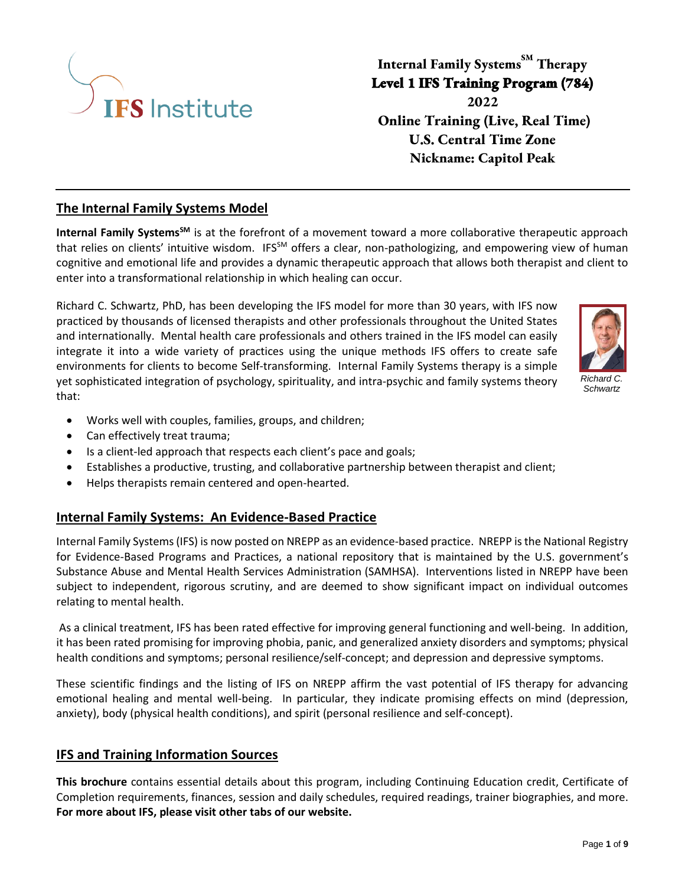

# **Internal Family Systems SM Therapy Level 1 IFS Training Program (784) 2022 Online Training (Live, Real Time) U.S. Central Time Zone Nickname: Capitol Peak**

### **The Internal Family Systems Model**

**Internal Family SystemsSM** is at the forefront of a movement toward a more collaborative therapeutic approach that relies on clients' intuitive wisdom. IFS<sup>SM</sup> offers a clear, non-pathologizing, and empowering view of human cognitive and emotional life and provides a dynamic therapeutic approach that allows both therapist and client to enter into a transformational relationship in which healing can occur.

Richard C. Schwartz, PhD, has been developing the IFS model for more than 30 years, with IFS now practiced by thousands of licensed therapists and other professionals throughout the United States and internationally. Mental health care professionals and others trained in the IFS model can easily integrate it into a wide variety of practices using the unique methods IFS offers to create safe environments for clients to become Self-transforming. Internal Family Systems therapy is a simple yet sophisticated integration of psychology, spirituality, and intra-psychic and family systems theory that:



*Richard C. Schwartz*

- Works well with couples, families, groups, and children;
- Can effectively treat trauma;
- Is a client-led approach that respects each client's pace and goals;
- Establishes a productive, trusting, and collaborative partnership between therapist and client;
- Helps therapists remain centered and open-hearted.

### **Internal Family Systems: An Evidence-Based Practice**

Internal Family Systems (IFS) is now posted on NREPP as an evidence-based practice. NREPP is the National Registry for Evidence-Based Programs and Practices, a national repository that is maintained by the U.S. government's Substance Abuse and Mental Health Services Administration (SAMHSA). Interventions listed in NREPP have been subject to independent, rigorous scrutiny, and are deemed to show significant impact on individual outcomes relating to mental health.

As a clinical treatment, IFS has been rated effective for improving general functioning and well-being. In addition, it has been rated promising for improving phobia, panic, and generalized anxiety disorders and symptoms; physical health conditions and symptoms; personal resilience/self-concept; and depression and depressive symptoms.

These scientific findings and the listing of IFS on NREPP affirm the vast potential of IFS therapy for advancing emotional healing and mental well-being. In particular, they indicate promising effects on mind (depression, anxiety), body (physical health conditions), and spirit (personal resilience and self-concept).

### **IFS and Training Information Sources**

**This brochure** contains essential details about this program, including Continuing Education credit, Certificate of Completion requirements, finances, session and daily schedules, required readings, trainer biographies, and more. **For more about IFS, please visit other tabs of our website.**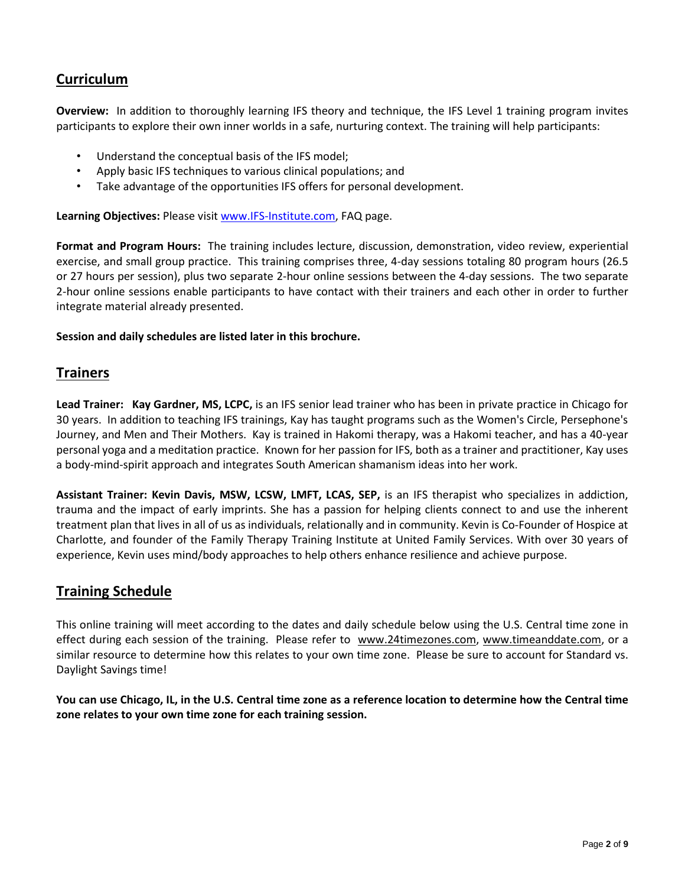## **Curriculum**

**Overview:** In addition to thoroughly learning IFS theory and technique, the IFS Level 1 training program invites participants to explore their own inner worlds in a safe, nurturing context. The training will help participants:

- Understand the conceptual basis of the IFS model;
- Apply basic IFS techniques to various clinical populations; and
- Take advantage of the opportunities IFS offers for personal development.

**Learning Objectives:** Please visit [www.IFS-Institute.com,](http://www.selfleadership.org/) FAQ page.

**Format and Program Hours:** The training includes lecture, discussion, demonstration, video review, experiential exercise, and small group practice. This training comprises three, 4-day sessions totaling 80 program hours (26.5 or 27 hours per session), plus two separate 2-hour online sessions between the 4-day sessions. The two separate 2-hour online sessions enable participants to have contact with their trainers and each other in order to further integrate material already presented.

### **Session and daily schedules are listed later in this brochure.**

### **Trainers**

**Lead Trainer: Kay Gardner, MS, LCPC,** is an IFS senior lead trainer who has been in private practice in Chicago for 30 years. In addition to teaching IFS trainings, Kay has taught programs such as the Women's Circle, Persephone's Journey, and Men and Their Mothers. Kay is trained in Hakomi therapy, was a Hakomi teacher, and has a 40-year personal yoga and a meditation practice. Known for her passion for IFS, both as a trainer and practitioner, Kay uses a body-mind-spirit approach and integrates South American shamanism ideas into her work.

**Assistant Trainer: Kevin Davis, MSW, LCSW, LMFT, LCAS, SEP,** is an IFS therapist who specializes in addiction, trauma and the impact of early imprints. She has a passion for helping clients connect to and use the inherent treatment plan that lives in all of us as individuals, relationally and in community. Kevin is Co-Founder of Hospice at Charlotte, and founder of the Family Therapy Training Institute at United Family Services. With over 30 years of experience, Kevin uses mind/body approaches to help others enhance resilience and achieve purpose.

### **Training Schedule**

This online training will meet according to the dates and daily schedule below using the U.S. Central time zone in effect during each session of the training. Please refer to [www.24timezones.com,](http://www.24timezones.com/) [www.timeanddate.com,](http://www.timeanddate.com/) or a similar resource to determine how this relates to your own time zone. Please be sure to account for Standard vs. Daylight Savings time!

**You can use Chicago, IL, in the U.S. Central time zone as a reference location to determine how the Central time zone relates to your own time zone for each training session.**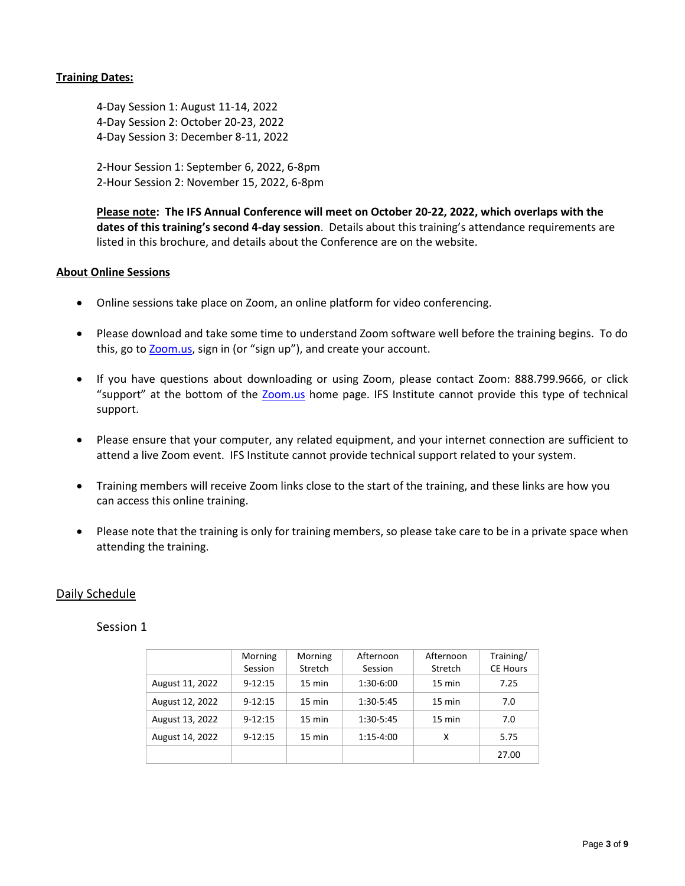#### **Training Dates:**

4-Day Session 1: August 11-14, 2022 4-Day Session 2: October 20-23, 2022 4-Day Session 3: December 8-11, 2022

2-Hour Session 1: September 6, 2022, 6-8pm 2-Hour Session 2: November 15, 2022, 6-8pm

**Please note: The IFS Annual Conference will meet on October 20-22, 2022, which overlaps with the dates of this training's second 4-day session**. Details about this training's attendance requirements are listed in this brochure, and details about the Conference are on the website.

#### **About Online Sessions**

- Online sessions take place on Zoom, an online platform for video conferencing.
- Please download and take some time to understand Zoom software well before the training begins. To do this, go to **Zoom.us**, sign in (or "sign up"), and create your account.
- If you have questions about downloading or using Zoom, please contact Zoom: 888.799.9666, or click "support" at the bottom of the [Zoom.us](https://zoom.us/) home page. IFS Institute cannot provide this type of technical support.
- Please ensure that your computer, any related equipment, and your internet connection are sufficient to attend a live Zoom event. IFS Institute cannot provide technical support related to your system.
- Training members will receive Zoom links close to the start of the training, and these links are how you can access this online training.
- Please note that the training is only for training members, so please take care to be in a private space when attending the training.

### Daily Schedule

### Session 1

|                 | Morning<br>Session | Morning<br>Stretch | Afternoon<br>Session | Afternoon<br>Stretch | Training/<br><b>CE Hours</b> |
|-----------------|--------------------|--------------------|----------------------|----------------------|------------------------------|
| August 11, 2022 | $9 - 12:15$        | $15 \text{ min}$   | 1:30-6:00            | $15 \text{ min}$     | 7.25                         |
| August 12, 2022 | $9 - 12:15$        | $15 \text{ min}$   | 1:30-5:45            | $15 \text{ min}$     | 7.0                          |
| August 13, 2022 | $9 - 12:15$        | $15 \text{ min}$   | 1:30-5:45            | $15 \text{ min}$     | 7.0                          |
| August 14, 2022 | $9 - 12:15$        | $15 \text{ min}$   | $1:15-4:00$          | x                    | 5.75                         |
|                 |                    |                    |                      |                      | 27.00                        |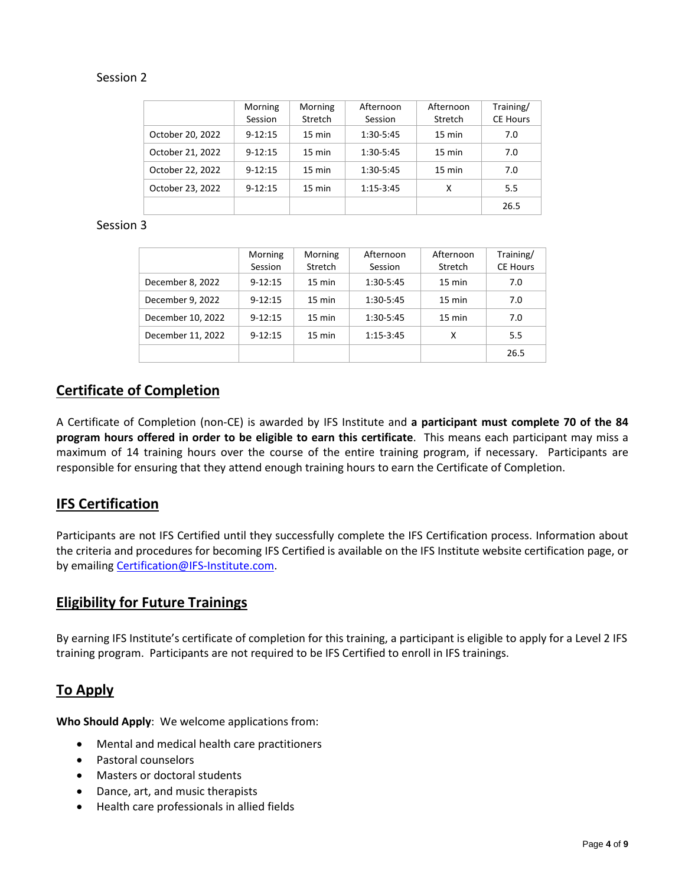### Session 2

|                  | Morning     | Morning          | Afternoon   | Afternoon        | Training/       |
|------------------|-------------|------------------|-------------|------------------|-----------------|
|                  | Session     | Stretch          | Session     | Stretch          | <b>CE Hours</b> |
| October 20, 2022 | $9 - 12:15$ | $15 \text{ min}$ | 1:30-5:45   | 15 min           | 7.0             |
| October 21, 2022 | $9 - 12:15$ | $15 \text{ min}$ | 1:30-5:45   | $15 \text{ min}$ | 7.0             |
| October 22, 2022 | $9 - 12:15$ | $15 \text{ min}$ | 1:30-5:45   | $15 \text{ min}$ | 7.0             |
| October 23, 2022 | $9 - 12:15$ | $15 \text{ min}$ | $1:15-3:45$ | х                | 5.5             |
|                  |             |                  |             |                  | 26.5            |

### Session 3

|                   | Morning<br>Session | Morning<br>Stretch | Afternoon<br>Session | Afternoon<br>Stretch | Training/<br><b>CE Hours</b> |
|-------------------|--------------------|--------------------|----------------------|----------------------|------------------------------|
| December 8, 2022  | $9 - 12:15$        | $15 \text{ min}$   | $1:30-5:45$          | $15 \text{ min}$     | 7.0                          |
| December 9, 2022  | $9 - 12:15$        | $15 \text{ min}$   | $1:30-5:45$          | $15 \text{ min}$     | 7.0                          |
| December 10, 2022 | $9 - 12:15$        | $15 \text{ min}$   | $1:30-5:45$          | $15 \text{ min}$     | 7.0                          |
| December 11, 2022 | $9 - 12:15$        | 15 min             | $1:15-3:45$          | X                    | 5.5                          |
|                   |                    |                    |                      |                      | 26.5                         |

## **Certificate of Completion**

A Certificate of Completion (non-CE) is awarded by IFS Institute and **a participant must complete 70 of the 84 program hours offered in order to be eligible to earn this certificate**. This means each participant may miss a maximum of 14 training hours over the course of the entire training program, if necessary. Participants are responsible for ensuring that they attend enough training hours to earn the Certificate of Completion.

## **IFS Certification**

Participants are not IFS Certified until they successfully complete the IFS Certification process. Information about the criteria and procedures for becoming IFS Certified is available on the IFS Institute website certification page, or by emailing [Certification@IFS-Institute.com.](mailto:Certification@IFS-Institute.com)

### **Eligibility for Future Trainings**

By earning IFS Institute's certificate of completion for this training, a participant is eligible to apply for a Level 2 IFS training program. Participants are not required to be IFS Certified to enroll in IFS trainings.

## **To Apply**

**Who Should Apply**: We welcome applications from:

- Mental and medical health care practitioners
- Pastoral counselors
- Masters or doctoral students
- Dance, art, and music therapists
- Health care professionals in allied fields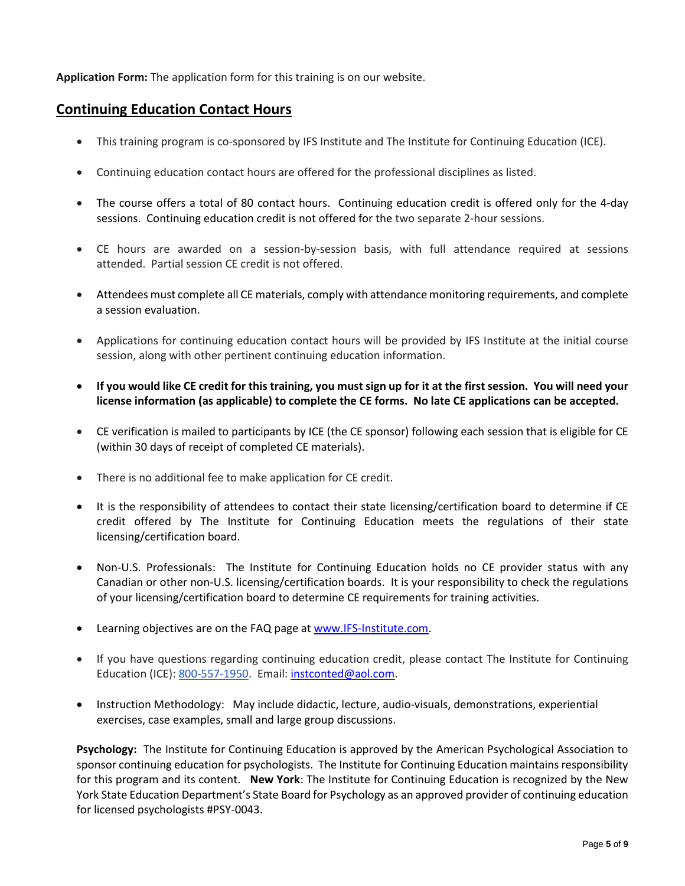**Application Form:** The application form for this training is on our website.

## **Continuing Education Contact Hours**

- This training program is co-sponsored by IFS Institute and The Institute for Continuing Education (ICE).
- Continuing education contact hours are offered for the professional disciplines as listed.
- The course offers a total of 80 contact hours. Continuing education credit is offered only for the 4-day sessions. Continuing education credit is not offered for the two separate 2-hour sessions.
- CE hours are awarded on a session-by-session basis, with full attendance required at sessions attended. Partial session CE credit is not offered.
- Attendees must complete all CE materials, comply with attendance monitoring requirements, and complete a session evaluation.
- Applications for continuing education contact hours will be provided by IFS Institute at the initial course session, along with other pertinent continuing education information.
- **If you would like CE credit for this training, you must sign up for it at the first session. You will need your license information (as applicable) to complete the CE forms. No late CE applications can be accepted.**
- CE verification is mailed to participants by ICE (the CE sponsor) following each session that is eligible for CE (within 30 days of receipt of completed CE materials).
- There is no additional fee to make application for CE credit.
- It is the responsibility of attendees to contact their state licensing/certification board to determine if CE credit offered by The Institute for Continuing Education meets the regulations of their state licensing/certification board.
- Non-U.S. Professionals: The Institute for Continuing Education holds no CE provider status with any Canadian or other non-U.S. licensing/certification boards. It is your responsibility to check the regulations of your licensing/certification board to determine CE requirements for training activities.
- Learning objectives are on the FAQ page a[t www.IFS-Institute.com.](http://www.selfleadership.org/)
- If you have questions regarding continuing education credit, please contact The Institute for Continuing Education (ICE): 800-557-1950. Email: [instconted@aol.com.](mailto:instconted@aol.com)
- Instruction Methodology: May include didactic, lecture, audio-visuals, demonstrations, experiential exercises, case examples, small and large group discussions.

**Psychology:** The Institute for Continuing Education is approved by the American Psychological Association to sponsor continuing education for psychologists. The Institute for Continuing Education maintains responsibility for this program and its content. **New York**: The Institute for Continuing Education is recognized by the New York State Education Department's State Board for Psychology as an approved provider of continuing education for licensed psychologists #PSY-0043.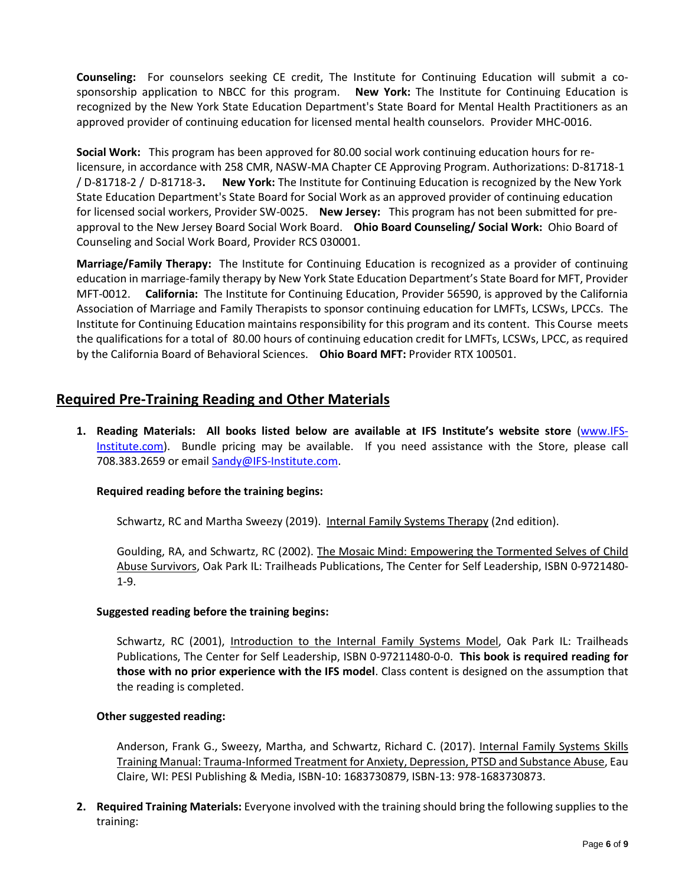**Counseling:** For counselors seeking CE credit, The Institute for Continuing Education will submit a cosponsorship application to NBCC for this program. **New York:** The Institute for Continuing Education is recognized by the New York State Education Department's State Board for Mental Health Practitioners as an approved provider of continuing education for licensed mental health counselors. Provider MHC-0016.

**Social Work:** This program has been approved for 80.00 social work continuing education hours for relicensure, in accordance with 258 CMR, NASW-MA Chapter CE Approving Program. Authorizations: D-81718-1 / D-81718-2 / D-81718-3**. New York:** The Institute for Continuing Education is recognized by the New York State Education Department's State Board for Social Work as an approved provider of continuing education for licensed social workers, Provider SW-0025. **New Jersey:** This program has not been submitted for preapproval to the New Jersey Board Social Work Board. **Ohio Board Counseling/ Social Work:** Ohio Board of Counseling and Social Work Board, Provider RCS 030001.

**Marriage/Family Therapy:** The Institute for Continuing Education is recognized as a provider of continuing education in marriage-family therapy by New York State Education Department's State Board for MFT, Provider MFT-0012. **California:** The Institute for Continuing Education, Provider 56590, is approved by the California Association of Marriage and Family Therapists to sponsor continuing education for LMFTs, LCSWs, LPCCs. The Institute for Continuing Education maintains responsibility for this program and its content. This Course meets the qualifications for a total of 80.00 hours of continuing education credit for LMFTs, LCSWs, LPCC, as required by the California Board of Behavioral Sciences. **Ohio Board MFT:** Provider RTX 100501.

## **Required Pre-Training Reading and Other Materials**

**1. Reading Materials: All books listed below are available at IFS Institute's website store** [\(www.IFS-](http://www.selfleadership.org/)[Institute.com\)](http://www.selfleadership.org/). Bundle pricing may be available. If you need assistance with the Store, please call 708.383.2659 or email Sandy@IFS-Institute.com.

### **Required reading before the training begins:**

Schwartz, RC and Martha Sweezy (2019). Internal Family Systems Therapy (2nd edition).

Goulding, RA, and Schwartz, RC (2002). The Mosaic Mind: Empowering the Tormented Selves of Child Abuse Survivors, Oak Park IL: Trailheads Publications, The Center for Self Leadership, ISBN 0-9721480- 1-9.

### **Suggested reading before the training begins:**

Schwartz, RC (2001), Introduction to the Internal Family Systems Model, Oak Park IL: Trailheads Publications, The Center for Self Leadership, ISBN 0-97211480-0-0. **This book is required reading for those with no prior experience with the IFS model**. Class content is designed on the assumption that the reading is completed.

### **Other suggested reading:**

Anderson, Frank G., Sweezy, Martha, and Schwartz, Richard C. (2017). Internal Family Systems Skills Training Manual: Trauma-Informed Treatment for Anxiety, Depression, PTSD and Substance Abuse, Eau Claire, WI: PESI Publishing & Media, ISBN-10: 1683730879, ISBN-13: 978-1683730873.

**2. Required Training Materials:** Everyone involved with the training should bring the following supplies to the training: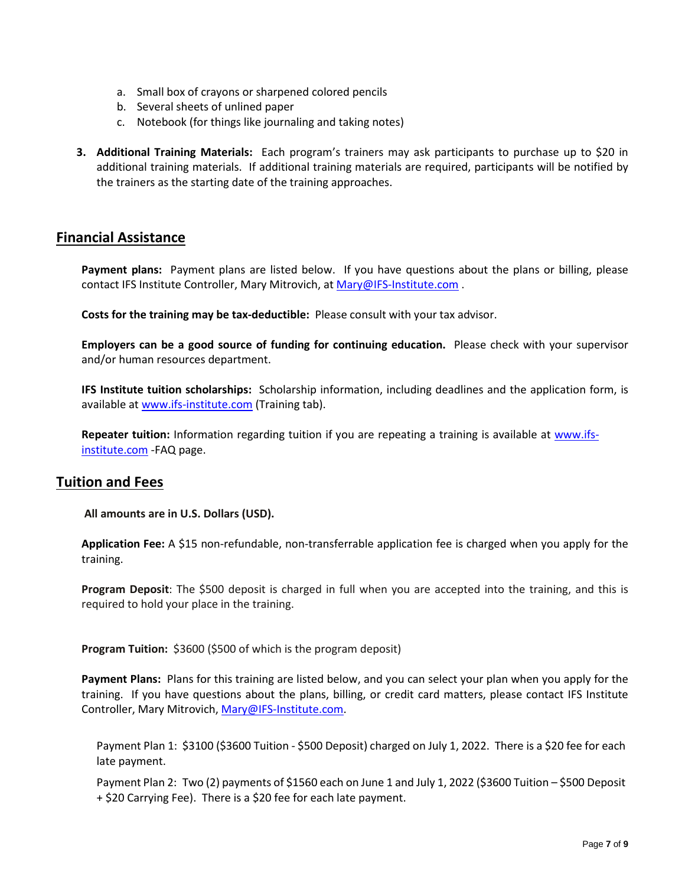- a. Small box of crayons or sharpened colored pencils
- b. Several sheets of unlined paper
- c. Notebook (for things like journaling and taking notes)
- **3. Additional Training Materials:** Each program's trainers may ask participants to purchase up to \$20 in additional training materials. If additional training materials are required, participants will be notified by the trainers as the starting date of the training approaches.

### **Financial Assistance**

**Payment plans:** Payment plans are listed below. If you have questions about the plans or billing, please contact IFS Institute Controller, Mary Mitrovich, at [Mary@IFS-Institute.com](mailto:Mary@IFS-Institute.com).

**Costs for the training may be tax-deductible:** Please consult with your tax advisor.

**Employers can be a good source of funding for continuing education.** Please check with your supervisor and/or human resources department.

**IFS Institute tuition scholarships:** Scholarship information, including deadlines and the application form, is available a[t www.ifs-institute.com](http://www.ifs-institute.com/) (Training tab).

**Repeater tuition:** Information regarding tuition if you are repeating a training is available at [www.ifs](http://www.ifs-institute.com/)[institute.com](http://www.ifs-institute.com/) -FAQ page.

### **Tuition and Fees**

**All amounts are in U.S. Dollars (USD).**

**Application Fee:** A \$15 non-refundable, non-transferrable application fee is charged when you apply for the training.

**Program Deposit**: The \$500 deposit is charged in full when you are accepted into the training, and this is required to hold your place in the training.

**Program Tuition:** \$3600 (\$500 of which is the program deposit)

**Payment Plans:** Plans for this training are listed below, and you can select your plan when you apply for the training. If you have questions about the plans, billing, or credit card matters, please contact IFS Institute Controller, Mary Mitrovich[, Mary@IFS-Institute.com.](mailto:Mary@IFS-Institute.com)

Payment Plan 1: \$3100 (\$3600 Tuition - \$500 Deposit) charged on July 1, 2022. There is a \$20 fee for each late payment.

Payment Plan 2: Two (2) payments of \$1560 each on June 1 and July 1, 2022 (\$3600 Tuition – \$500 Deposit + \$20 Carrying Fee). There is a \$20 fee for each late payment.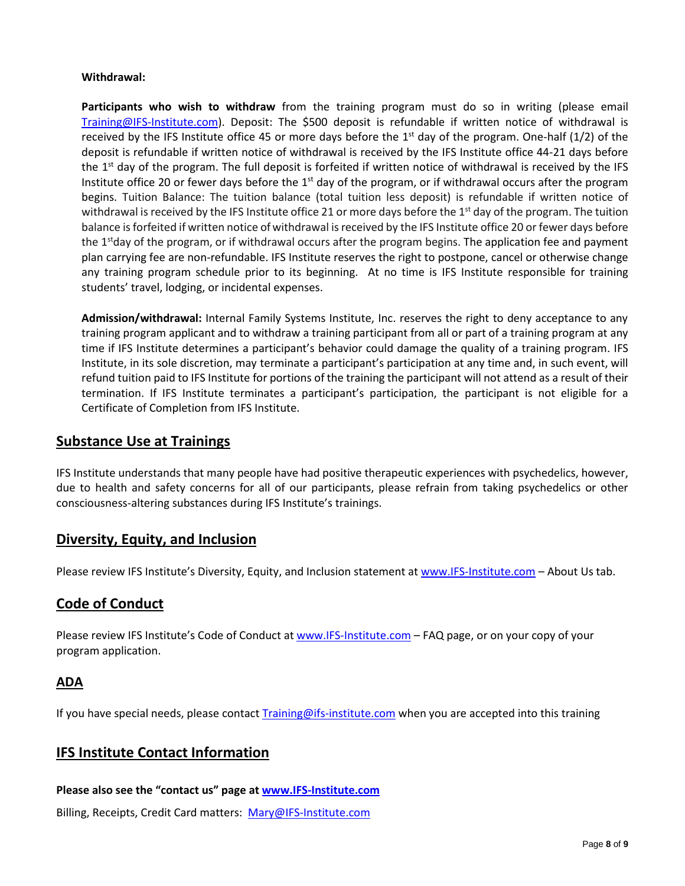### **Withdrawal:**

**Participants who wish to withdraw** from the training program must do so in writing (please email [Training@IFS-Institute.com\)](mailto:Training@IFS-Institute.com). Deposit: The \$500 deposit is refundable if written notice of withdrawal is received by the IFS Institute office 45 or more days before the  $1<sup>st</sup>$  day of the program. One-half (1/2) of the deposit is refundable if written notice of withdrawal is received by the IFS Institute office 44-21 days before the 1<sup>st</sup> day of the program. The full deposit is forfeited if written notice of withdrawal is received by the IFS Institute office 20 or fewer days before the  $1<sup>st</sup>$  day of the program, or if withdrawal occurs after the program begins. Tuition Balance: The tuition balance (total tuition less deposit) is refundable if written notice of withdrawal is received by the IFS Institute office 21 or more days before the 1<sup>st</sup> day of the program. The tuition balance is forfeited if written notice of withdrawal is received by the IFS Institute office 20 or fewer days before the 1<sup>st</sup>day of the program, or if withdrawal occurs after the program begins. The application fee and payment plan carrying fee are non-refundable. IFS Institute reserves the right to postpone, cancel or otherwise change any training program schedule prior to its beginning. At no time is IFS Institute responsible for training students' travel, lodging, or incidental expenses.

**Admission/withdrawal:** Internal Family Systems Institute, Inc. reserves the right to deny acceptance to any training program applicant and to withdraw a training participant from all or part of a training program at any time if IFS Institute determines a participant's behavior could damage the quality of a training program. IFS Institute, in its sole discretion, may terminate a participant's participation at any time and, in such event, will refund tuition paid to IFS Institute for portions of the training the participant will not attend as a result of their termination. If IFS Institute terminates a participant's participation, the participant is not eligible for a Certificate of Completion from IFS Institute.

### **Substance Use at Trainings**

IFS Institute understands that many people have had positive therapeutic experiences with psychedelics, however, due to health and safety concerns for all of our participants, please refrain from taking psychedelics or other consciousness-altering substances during IFS Institute's trainings.

### **Diversity, Equity, and Inclusion**

Please review IFS Institute's Diversity, Equity, and Inclusion statement at [www.IFS-Institute.com](http://www.ifs-institute.com/) - About Us tab.

## **Code of Conduct**

Please review IFS Institute's Code of Conduct at [www.IFS-Institute.com](http://www.ifs-institute.com/) – FAQ page, or on your copy of your program application.

### **ADA**

If you have special needs, please contac[t Training@ifs-institute.com](mailto:Training@ifs-institute.com) when you are accepted into this training

## **IFS Institute Contact Information**

**Please also see the "contact us" page at [www.IFS-Institute.com](http://www.selfleadership.org/)**

Billing, Receipts, Credit Card matters: [Mary@IFS-Institute.com](mailto:Mary@IFS-Institute.com)